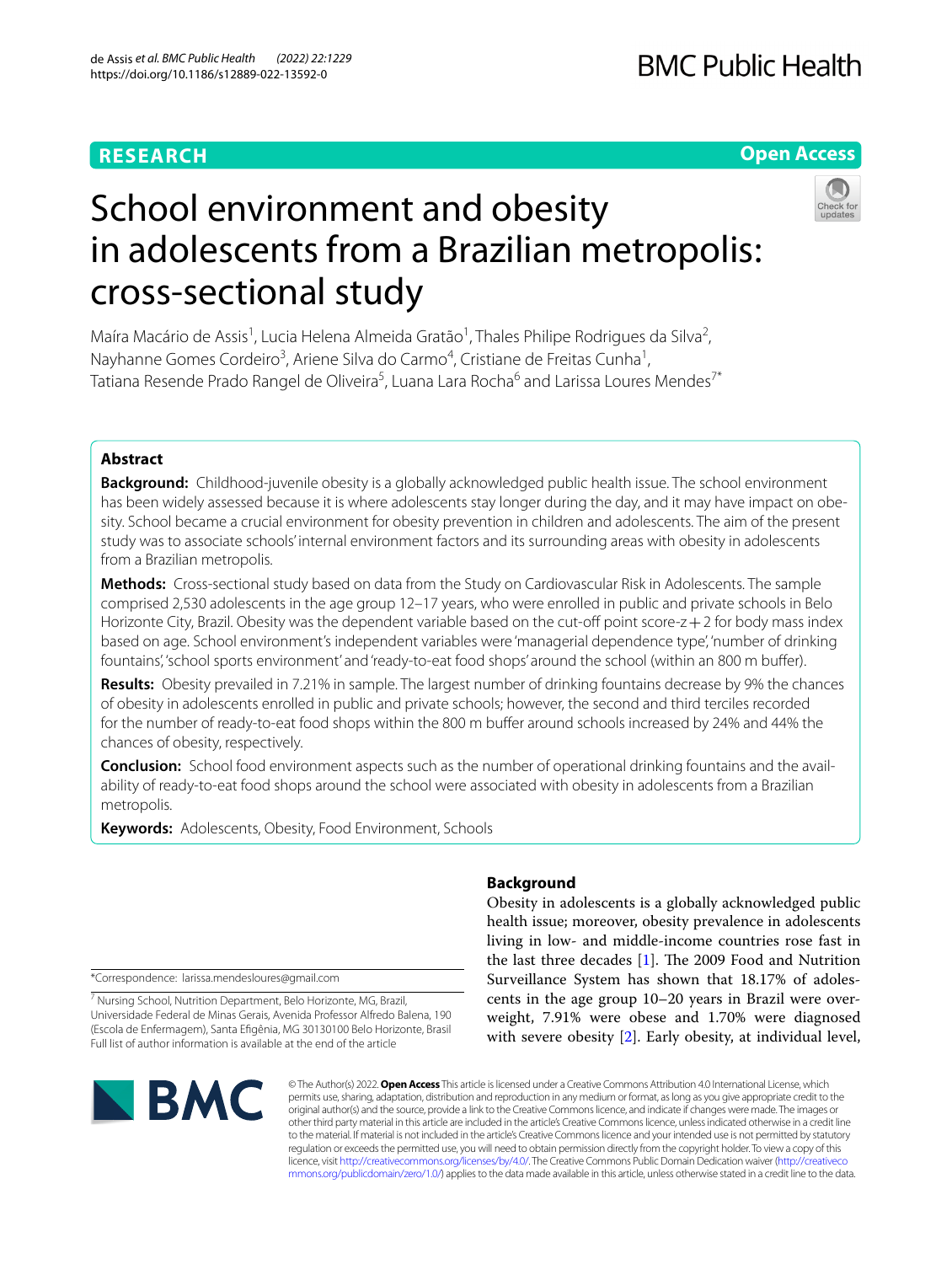## **RESEARCH**

## **Open Access**



# School environment and obesity in adolescents from a Brazilian metropolis: cross-sectional study

Maíra Macário de Assis<sup>1</sup>, Lucia Helena Almeida Gratão<sup>1</sup>, Thales Philipe Rodrigues da Silva<sup>2</sup>, Nayhanne Gomes Cordeiro<sup>3</sup>, Ariene Silva do Carmo<sup>4</sup>, Cristiane de Freitas Cunha<sup>1</sup>, Tatiana Resende Prado Rangel de Oliveira<sup>5</sup>, Luana Lara Rocha<sup>6</sup> and Larissa Loures Mendes<sup>7\*</sup>

## **Abstract**

**Background:** Childhood-juvenile obesity is a globally acknowledged public health issue. The school environment has been widely assessed because it is where adolescents stay longer during the day, and it may have impact on obesity. School became a crucial environment for obesity prevention in children and adolescents. The aim of the present study was to associate schools' internal environment factors and its surrounding areas with obesity in adolescents from a Brazilian metropolis.

**Methods:** Cross-sectional study based on data from the Study on Cardiovascular Risk in Adolescents. The sample comprised 2,530 adolescents in the age group 12–17 years, who were enrolled in public and private schools in Belo Horizonte City, Brazil. Obesity was the dependent variable based on the cut-off point score- $z+2$  for body mass index based on age. School environment's independent variables were 'managerial dependence type', 'number of drinking fountains', 'school sports environment' and 'ready-to-eat food shops' around the school (within an 800 m bufer).

**Results:** Obesity prevailed in 7.21% in sample. The largest number of drinking fountains decrease by 9% the chances of obesity in adolescents enrolled in public and private schools; however, the second and third terciles recorded for the number of ready-to-eat food shops within the 800 m bufer around schools increased by 24% and 44% the chances of obesity, respectively.

**Conclusion:** School food environment aspects such as the number of operational drinking fountains and the availability of ready-to-eat food shops around the school were associated with obesity in adolescents from a Brazilian metropolis.

**Keywords:** Adolescents, Obesity, Food Environment, Schools

\*Correspondence: larissa.mendesloures@gmail.com

<sup>7</sup> Nursing School, Nutrition Department, Belo Horizonte, MG, Brazil, Universidade Federal de Minas Gerais, Avenida Professor Alfredo Balena, 190 (Escola de Enfermagem), Santa Efgênia, MG 30130100 Belo Horizonte, Brasil Full list of author information is available at the end of the article

## **Background**

Obesity in adolescents is a globally acknowledged public health issue; moreover, obesity prevalence in adolescents living in low- and middle-income countries rose fast in the last three decades  $[1]$ . The 2009 Food and Nutrition Surveillance System has shown that 18.17% of adolescents in the age group 10–20 years in Brazil were overweight, 7.91% were obese and 1.70% were diagnosed with severe obesity [[2\]](#page-8-1). Early obesity, at individual level,



© The Author(s) 2022. **Open Access** This article is licensed under a Creative Commons Attribution 4.0 International License, which permits use, sharing, adaptation, distribution and reproduction in any medium or format, as long as you give appropriate credit to the original author(s) and the source, provide a link to the Creative Commons licence, and indicate if changes were made. The images or other third party material in this article are included in the article's Creative Commons licence, unless indicated otherwise in a credit line to the material. If material is not included in the article's Creative Commons licence and your intended use is not permitted by statutory regulation or exceeds the permitted use, you will need to obtain permission directly from the copyright holder. To view a copy of this licence, visit [http://creativecommons.org/licenses/by/4.0/.](http://creativecommons.org/licenses/by/4.0/) The Creative Commons Public Domain Dedication waiver ([http://creativeco](http://creativecommons.org/publicdomain/zero/1.0/) [mmons.org/publicdomain/zero/1.0/](http://creativecommons.org/publicdomain/zero/1.0/)) applies to the data made available in this article, unless otherwise stated in a credit line to the data.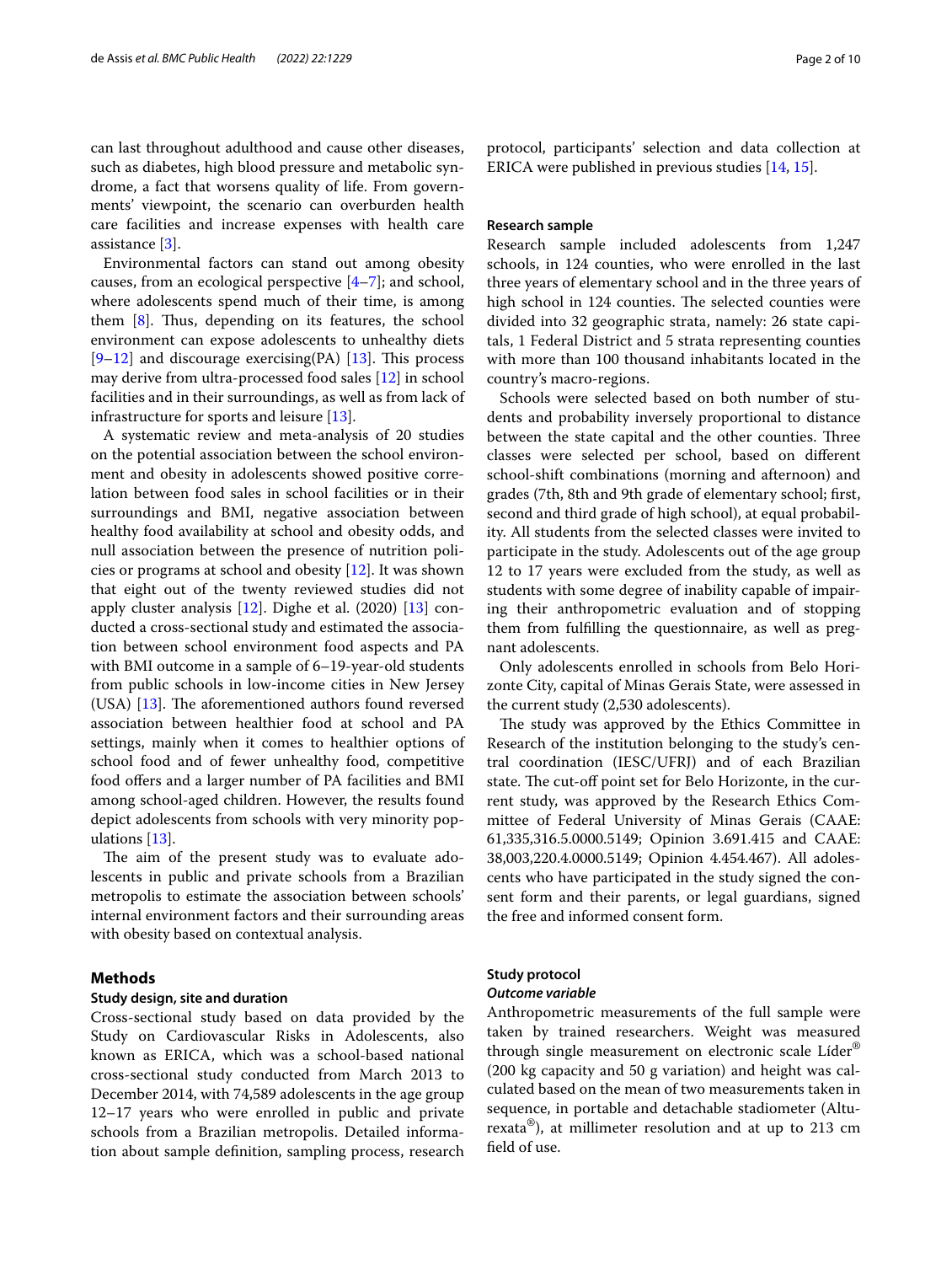can last throughout adulthood and cause other diseases, such as diabetes, high blood pressure and metabolic syndrome, a fact that worsens quality of life. From governments' viewpoint, the scenario can overburden health care facilities and increase expenses with health care assistance [[3\]](#page-8-2).

Environmental factors can stand out among obesity causes, from an ecological perspective [[4–](#page-8-3)[7\]](#page-9-0); and school, where adolescents spend much of their time, is among them  $[8]$  $[8]$ . Thus, depending on its features, the school environment can expose adolescents to unhealthy diets  $[9-12]$  $[9-12]$  and discourage exercising(PA) [[13\]](#page-9-4). This process may derive from ultra-processed food sales [\[12\]](#page-9-3) in school facilities and in their surroundings, as well as from lack of infrastructure for sports and leisure [[13](#page-9-4)].

A systematic review and meta-analysis of 20 studies on the potential association between the school environment and obesity in adolescents showed positive correlation between food sales in school facilities or in their surroundings and BMI, negative association between healthy food availability at school and obesity odds, and null association between the presence of nutrition policies or programs at school and obesity [\[12](#page-9-3)]. It was shown that eight out of the twenty reviewed studies did not apply cluster analysis [[12\]](#page-9-3). Dighe et al. (2020) [\[13](#page-9-4)] conducted a cross-sectional study and estimated the association between school environment food aspects and PA with BMI outcome in a sample of 6–19-year-old students from public schools in low-income cities in New Jersey (USA)  $[13]$  $[13]$ . The aforementioned authors found reversed association between healthier food at school and PA settings, mainly when it comes to healthier options of school food and of fewer unhealthy food, competitive food offers and a larger number of PA facilities and BMI among school-aged children. However, the results found depict adolescents from schools with very minority populations [[13\]](#page-9-4).

The aim of the present study was to evaluate adolescents in public and private schools from a Brazilian metropolis to estimate the association between schools' internal environment factors and their surrounding areas with obesity based on contextual analysis.

## **Methods**

## **Study design, site and duration**

Cross-sectional study based on data provided by the Study on Cardiovascular Risks in Adolescents, also known as ERICA, which was a school-based national cross-sectional study conducted from March 2013 to December 2014, with 74,589 adolescents in the age group 12–17 years who were enrolled in public and private schools from a Brazilian metropolis. Detailed information about sample defnition, sampling process, research protocol, participants' selection and data collection at ERICA were published in previous studies [\[14,](#page-9-5) [15](#page-9-6)].

## **Research sample**

Research sample included adolescents from 1,247 schools, in 124 counties, who were enrolled in the last three years of elementary school and in the three years of high school in 124 counties. The selected counties were divided into 32 geographic strata, namely: 26 state capitals, 1 Federal District and 5 strata representing counties with more than 100 thousand inhabitants located in the country's macro-regions.

Schools were selected based on both number of students and probability inversely proportional to distance between the state capital and the other counties. Three classes were selected per school, based on diferent school-shift combinations (morning and afternoon) and grades (7th, 8th and 9th grade of elementary school; frst, second and third grade of high school), at equal probability. All students from the selected classes were invited to participate in the study. Adolescents out of the age group 12 to 17 years were excluded from the study, as well as students with some degree of inability capable of impairing their anthropometric evaluation and of stopping them from fulflling the questionnaire, as well as pregnant adolescents.

Only adolescents enrolled in schools from Belo Horizonte City, capital of Minas Gerais State, were assessed in the current study (2,530 adolescents).

The study was approved by the Ethics Committee in Research of the institution belonging to the study's central coordination (IESC/UFRJ) and of each Brazilian state. The cut-off point set for Belo Horizonte, in the current study, was approved by the Research Ethics Committee of Federal University of Minas Gerais (CAAE: 61,335,316.5.0000.5149; Opinion 3.691.415 and CAAE: 38,003,220.4.0000.5149; Opinion 4.454.467). All adolescents who have participated in the study signed the consent form and their parents, or legal guardians, signed the free and informed consent form.

## **Study protocol**

## *Outcome variable*

Anthropometric measurements of the full sample were taken by trained researchers. Weight was measured through single measurement on electronic scale Líder® (200 kg capacity and 50 g variation) and height was calculated based on the mean of two measurements taken in sequence, in portable and detachable stadiometer (Alturexata<sup>®</sup>), at millimeter resolution and at up to 213 cm feld of use.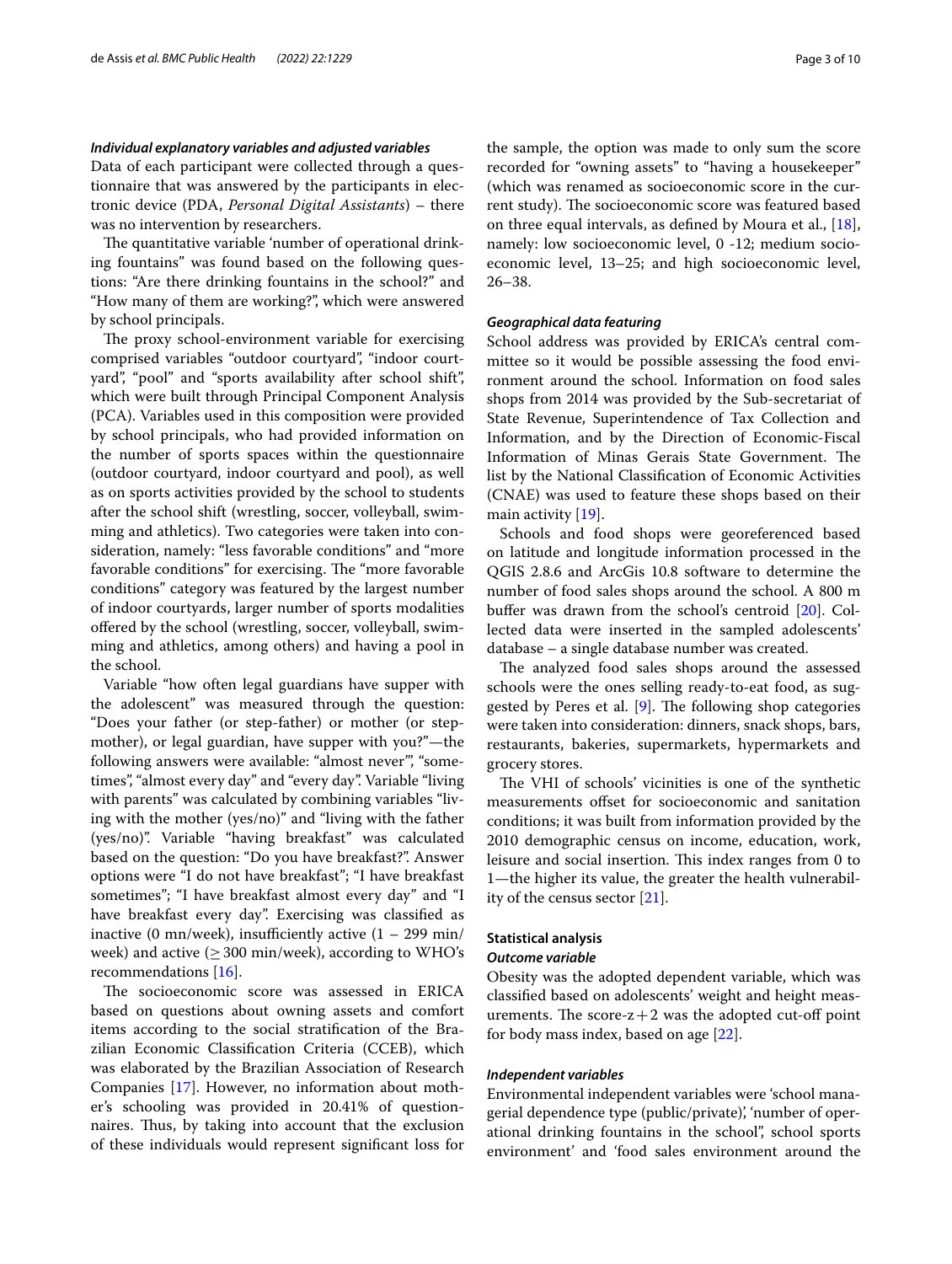## *Individual explanatory variables and adjusted variables*

Data of each participant were collected through a questionnaire that was answered by the participants in electronic device (PDA, *Personal Digital Assistants*) – there was no intervention by researchers.

The quantitative variable 'number of operational drinking fountains" was found based on the following questions: "Are there drinking fountains in the school?" and "How many of them are working?", which were answered by school principals.

The proxy school-environment variable for exercising comprised variables "outdoor courtyard", "indoor courtyard", "pool" and "sports availability after school shift", which were built through Principal Component Analysis (PCA). Variables used in this composition were provided by school principals, who had provided information on the number of sports spaces within the questionnaire (outdoor courtyard, indoor courtyard and pool), as well as on sports activities provided by the school to students after the school shift (wrestling, soccer, volleyball, swimming and athletics). Two categories were taken into consideration, namely: "less favorable conditions" and "more favorable conditions" for exercising. The "more favorable conditions" category was featured by the largest number of indoor courtyards, larger number of sports modalities offered by the school (wrestling, soccer, volleyball, swimming and athletics, among others) and having a pool in the school.

Variable "how often legal guardians have supper with the adolescent" was measured through the question: "Does your father (or step-father) or mother (or stepmother), or legal guardian, have supper with you?"—the following answers were available: "almost never", "sometimes", "almost every day" and "every day". Variable "living with parents" was calculated by combining variables "living with the mother (yes/no)" and "living with the father (yes/no)". Variable "having breakfast" was calculated based on the question: "Do you have breakfast?". Answer options were "I do not have breakfast"; "I have breakfast sometimes"; "I have breakfast almost every day" and "I have breakfast every day". Exercising was classifed as inactive (0 mn/week), insufficiently active  $(1 - 299 \text{ min/}$ week) and active ( $\geq$  300 min/week), according to WHO's recommendations [\[16](#page-9-7)].

The socioeconomic score was assessed in ERICA based on questions about owning assets and comfort items according to the social stratifcation of the Brazilian Economic Classifcation Criteria (CCEB), which was elaborated by the Brazilian Association of Research Companies [[17\]](#page-9-8). However, no information about mother's schooling was provided in 20.41% of questionnaires. Thus, by taking into account that the exclusion of these individuals would represent signifcant loss for the sample, the option was made to only sum the score

recorded for "owning assets" to "having a housekeeper" (which was renamed as socioeconomic score in the current study). The socioeconomic score was featured based on three equal intervals, as defned by Moura et al., [\[18](#page-9-9)], namely: low socioeconomic level, 0 -12; medium socioeconomic level, 13–25; and high socioeconomic level, 26–38.

## *Geographical data featuring*

School address was provided by ERICA's central committee so it would be possible assessing the food environment around the school. Information on food sales shops from 2014 was provided by the Sub-secretariat of State Revenue, Superintendence of Tax Collection and Information, and by the Direction of Economic-Fiscal Information of Minas Gerais State Government. The list by the National Classifcation of Economic Activities (CNAE) was used to feature these shops based on their main activity [\[19](#page-9-10)].

Schools and food shops were georeferenced based on latitude and longitude information processed in the QGIS 2.8.6 and ArcGis 10.8 software to determine the number of food sales shops around the school. A 800 m buffer was drawn from the school's centroid [\[20](#page-9-11)]. Collected data were inserted in the sampled adolescents' database – a single database number was created.

The analyzed food sales shops around the assessed schools were the ones selling ready-to-eat food, as suggested by Peres et al.  $[9]$  $[9]$ . The following shop categories were taken into consideration: dinners, snack shops, bars, restaurants, bakeries, supermarkets, hypermarkets and grocery stores.

The VHI of schools' vicinities is one of the synthetic measurements ofset for socioeconomic and sanitation conditions; it was built from information provided by the 2010 demographic census on income, education, work, leisure and social insertion. This index ranges from 0 to 1—the higher its value, the greater the health vulnerability of the census sector [\[21](#page-9-12)].

## **Statistical analysis**

## *Outcome variable*

Obesity was the adopted dependent variable, which was classifed based on adolescents' weight and height measurements. The score- $z+2$  was the adopted cut-off point for body mass index, based on age [\[22](#page-9-13)].

## *Independent variables*

Environmental independent variables were 'school managerial dependence type (public/private), 'number of operational drinking fountains in the school", school sports environment' and 'food sales environment around the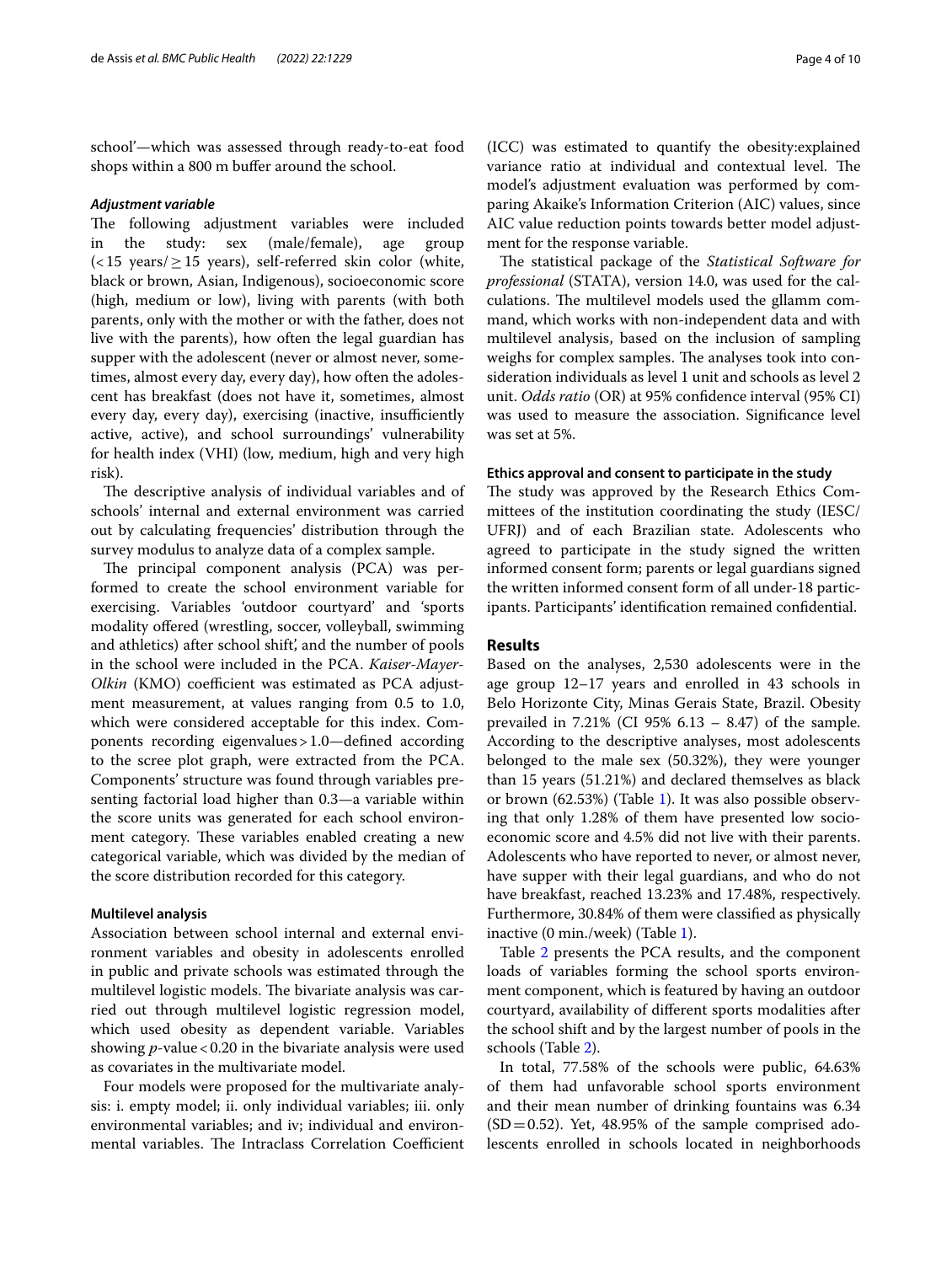school'—which was assessed through ready-to-eat food shops within a 800 m bufer around the school.

#### *Adjustment variable*

The following adjustment variables were included in the study: sex (male/female), age group  $\left($  < 15 years/ $\geq$  15 years), self-referred skin color (white, black or brown, Asian, Indigenous), socioeconomic score (high, medium or low), living with parents (with both parents, only with the mother or with the father, does not live with the parents), how often the legal guardian has supper with the adolescent (never or almost never, sometimes, almost every day, every day), how often the adolescent has breakfast (does not have it, sometimes, almost every day, every day), exercising (inactive, insufficiently active, active), and school surroundings' vulnerability for health index (VHI) (low, medium, high and very high risk).

The descriptive analysis of individual variables and of schools' internal and external environment was carried out by calculating frequencies' distribution through the survey modulus to analyze data of a complex sample.

The principal component analysis (PCA) was performed to create the school environment variable for exercising. Variables 'outdoor courtyard' and 'sports modality ofered (wrestling, soccer, volleyball, swimming and athletics) after school shift', and the number of pools in the school were included in the PCA. *Kaiser-Mayer-Olkin* (KMO) coefficient was estimated as PCA adjustment measurement, at values ranging from 0.5 to 1.0, which were considered acceptable for this index. Components recording eigenvalues>1.0—defned according to the scree plot graph, were extracted from the PCA. Components' structure was found through variables presenting factorial load higher than 0.3—a variable within the score units was generated for each school environment category. These variables enabled creating a new categorical variable, which was divided by the median of the score distribution recorded for this category.

## **Multilevel analysis**

Association between school internal and external environment variables and obesity in adolescents enrolled in public and private schools was estimated through the multilevel logistic models. The bivariate analysis was carried out through multilevel logistic regression model, which used obesity as dependent variable. Variables showing *p*-value < 0.20 in the bivariate analysis were used as covariates in the multivariate model.

Four models were proposed for the multivariate analysis: i. empty model; ii. only individual variables; iii. only environmental variables; and iv; individual and environmental variables. The Intraclass Correlation Coefficient (ICC) was estimated to quantify the obesity:explained variance ratio at individual and contextual level. The model's adjustment evaluation was performed by comparing Akaike's Information Criterion (AIC) values, since AIC value reduction points towards better model adjustment for the response variable.

The statistical package of the *Statistical Software for professional* (STATA), version 14.0, was used for the calculations. The multilevel models used the gllamm command, which works with non-independent data and with multilevel analysis, based on the inclusion of sampling weighs for complex samples. The analyses took into consideration individuals as level 1 unit and schools as level 2 unit. *Odds ratio* (OR) at 95% confdence interval (95% CI) was used to measure the association. Signifcance level was set at 5%.

## **Ethics approval and consent to participate in the study**

The study was approved by the Research Ethics Committees of the institution coordinating the study (IESC/ UFRJ) and of each Brazilian state. Adolescents who agreed to participate in the study signed the written informed consent form; parents or legal guardians signed the written informed consent form of all under-18 participants. Participants' identifcation remained confdential.

## **Results**

Based on the analyses, 2,530 adolescents were in the age group 12–17 years and enrolled in 43 schools in Belo Horizonte City, Minas Gerais State, Brazil. Obesity prevailed in 7.21% (CI 95% 6.13 – 8.47) of the sample. According to the descriptive analyses, most adolescents belonged to the male sex (50.32%), they were younger than 15 years (51.21%) and declared themselves as black or brown (62.53%) (Table [1](#page-4-0)). It was also possible observing that only 1.28% of them have presented low socioeconomic score and 4.5% did not live with their parents. Adolescents who have reported to never, or almost never, have supper with their legal guardians, and who do not have breakfast, reached 13.23% and 17.48%, respectively. Furthermore, 30.84% of them were classifed as physically inactive (0 min./week) (Table [1\)](#page-4-0).

Table [2](#page-4-1) presents the PCA results, and the component loads of variables forming the school sports environment component, which is featured by having an outdoor courtyard, availability of diferent sports modalities after the school shift and by the largest number of pools in the schools (Table [2](#page-4-1)).

In total, 77.58% of the schools were public, 64.63% of them had unfavorable school sports environment and their mean number of drinking fountains was 6.34  $(SD=0.52)$ . Yet, 48.95% of the sample comprised adolescents enrolled in schools located in neighborhoods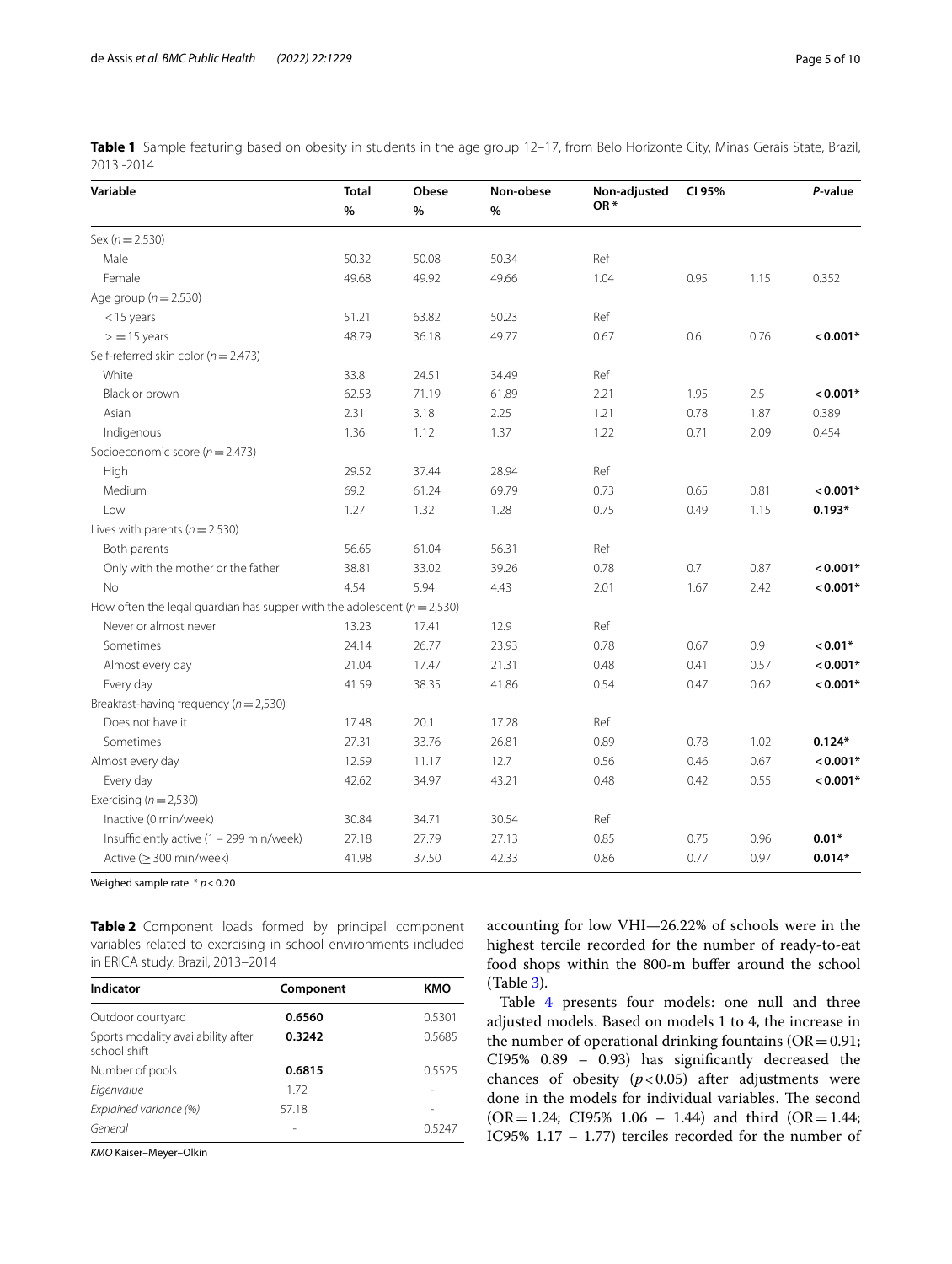<span id="page-4-0"></span>**Table 1** Sample featuring based on obesity in students in the age group 12–17, from Belo Horizonte City, Minas Gerais State, Brazil, 2013 -2014

| Variable                                                                    | <b>Total</b><br>$\%$ | Obese<br>$\%$ | Non-obese<br>$\%$ | Non-adjusted<br>OR* | CI 95% |      | P-value    |
|-----------------------------------------------------------------------------|----------------------|---------------|-------------------|---------------------|--------|------|------------|
| Sex ( $n = 2.530$ )                                                         |                      |               |                   |                     |        |      |            |
| Male                                                                        | 50.32                | 50.08         | 50.34             | Ref                 |        |      |            |
| Female                                                                      | 49.68                | 49.92         | 49.66             | 1.04                | 0.95   | 1.15 | 0.352      |
| Age group ( $n = 2.530$ )                                                   |                      |               |                   |                     |        |      |            |
| $<$ 15 years                                                                | 51.21                | 63.82         | 50.23             | Ref                 |        |      |            |
| $>$ = 15 years                                                              | 48.79                | 36.18         | 49.77             | 0.67                | 0.6    | 0.76 | $< 0.001*$ |
| Self-referred skin color ( $n = 2.473$ )                                    |                      |               |                   |                     |        |      |            |
| White                                                                       | 33.8                 | 24.51         | 34.49             | Ref                 |        |      |            |
| Black or brown                                                              | 62.53                | 71.19         | 61.89             | 2.21                | 1.95   | 2.5  | $< 0.001*$ |
| Asian                                                                       | 2.31                 | 3.18          | 2.25              | 1.21                | 0.78   | 1.87 | 0.389      |
| Indigenous                                                                  | 1.36                 | 1.12          | 1.37              | 1.22                | 0.71   | 2.09 | 0.454      |
| Socioeconomic score ( $n = 2.473$ )                                         |                      |               |                   |                     |        |      |            |
| High                                                                        | 29.52                | 37.44         | 28.94             | Ref                 |        |      |            |
| Medium                                                                      | 69.2                 | 61.24         | 69.79             | 0.73                | 0.65   | 0.81 | $< 0.001*$ |
| Low                                                                         | 1.27                 | 1.32          | 1.28              | 0.75                | 0.49   | 1.15 | $0.193*$   |
| Lives with parents ( $n = 2.530$ )                                          |                      |               |                   |                     |        |      |            |
| Both parents                                                                | 56.65                | 61.04         | 56.31             | Ref                 |        |      |            |
| Only with the mother or the father                                          | 38.81                | 33.02         | 39.26             | 0.78                | 0.7    | 0.87 | $< 0.001*$ |
| <b>No</b>                                                                   | 4.54                 | 5.94          | 4.43              | 2.01                | 1.67   | 2.42 | $< 0.001*$ |
| How often the legal guardian has supper with the adolescent ( $n = 2,530$ ) |                      |               |                   |                     |        |      |            |
| Never or almost never                                                       | 13.23                | 17.41         | 12.9              | Ref                 |        |      |            |
| Sometimes                                                                   | 24.14                | 26.77         | 23.93             | 0.78                | 0.67   | 0.9  | $< 0.01*$  |
| Almost every day                                                            | 21.04                | 17.47         | 21.31             | 0.48                | 0.41   | 0.57 | $< 0.001*$ |
| Every day                                                                   | 41.59                | 38.35         | 41.86             | 0.54                | 0.47   | 0.62 | $< 0.001*$ |
| Breakfast-having frequency ( $n = 2,530$ )                                  |                      |               |                   |                     |        |      |            |
| Does not have it                                                            | 17.48                | 20.1          | 17.28             | Ref                 |        |      |            |
| Sometimes                                                                   | 27.31                | 33.76         | 26.81             | 0.89                | 0.78   | 1.02 | $0.124*$   |
| Almost every day                                                            | 12.59                | 11.17         | 12.7              | 0.56                | 0.46   | 0.67 | $< 0.001*$ |
| Every day                                                                   | 42.62                | 34.97         | 43.21             | 0.48                | 0.42   | 0.55 | $< 0.001*$ |
| Exercising ( $n = 2,530$ )                                                  |                      |               |                   |                     |        |      |            |
| Inactive (0 min/week)                                                       | 30.84                | 34.71         | 30.54             | Ref                 |        |      |            |
| Insufficiently active (1 - 299 min/week)                                    | 27.18                | 27.79         | 27.13             | 0.85                | 0.75   | 0.96 | $0.01*$    |
| Active ( $\geq$ 300 min/week)                                               | 41.98                | 37.50         | 42.33             | 0.86                | 0.77   | 0.97 | $0.014*$   |

Weighed sample rate. \* *p*<0.20

<span id="page-4-1"></span>**Table 2** Component loads formed by principal component variables related to exercising in school environments included in ERICA study. Brazil, 2013–2014

| Indicator                                          | Component | KMO    |
|----------------------------------------------------|-----------|--------|
| Outdoor courtyard                                  | 0.6560    | 0.5301 |
| Sports modality availability after<br>school shift | 0.3242    | 0.5685 |
| Number of pools                                    | 0.6815    | 0.5525 |
| Eigenvalue                                         | 172       |        |
| Explained variance (%)                             | 57.18     |        |
| General                                            |           | 0.5247 |

*KMO* Kaiser–Meyer–Olkin

accounting for low VHI—26.22% of schools were in the highest tercile recorded for the number of ready-to-eat food shops within the 800-m buffer around the school (Table [3\)](#page-5-0).

Table [4](#page-6-0) presents four models: one null and three adjusted models. Based on models 1 to 4, the increase in the number of operational drinking fountains  $(OR=0.91;$ CI95% 0.89 – 0.93) has signifcantly decreased the chances of obesity  $(p<0.05)$  after adjustments were done in the models for individual variables. The second  $(OR = 1.24; C195\% 1.06 - 1.44)$  and third  $(OR = 1.44;$ IC95% 1.17 – 1.77) terciles recorded for the number of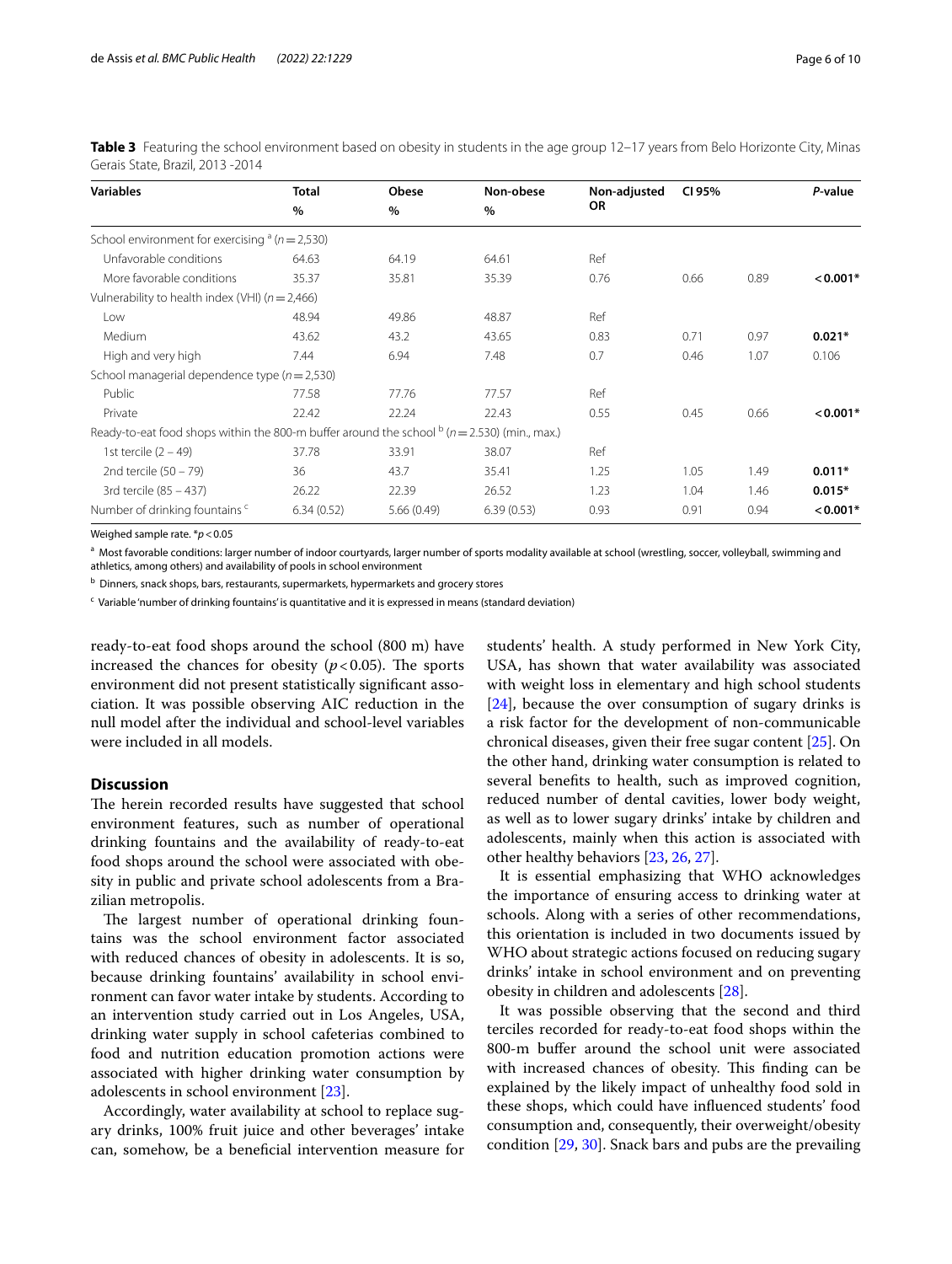| <b>Variables</b>                                                                            | <b>Total</b> | Obese      | Non-obese  | Non-adjusted | CI 95% |      | P-value    |
|---------------------------------------------------------------------------------------------|--------------|------------|------------|--------------|--------|------|------------|
|                                                                                             | $\%$         | $\%$       | $\%$       | OR           |        |      |            |
| School environment for exercising $a(n=2,530)$                                              |              |            |            |              |        |      |            |
| Unfavorable conditions                                                                      | 64.63        | 64.19      | 64.61      | Ref          |        |      |            |
| More favorable conditions                                                                   | 35.37        | 35.81      | 35.39      | 0.76         | 0.66   | 0.89 | $< 0.001*$ |
| Vulnerability to health index (VHI) $(n = 2,466)$                                           |              |            |            |              |        |      |            |
| Low                                                                                         | 48.94        | 49.86      | 48.87      | Ref          |        |      |            |
| Medium                                                                                      | 43.62        | 43.2       | 43.65      | 0.83         | 0.71   | 0.97 | $0.021*$   |
| High and very high                                                                          | 7.44         | 6.94       | 7.48       | 0.7          | 0.46   | 1.07 | 0.106      |
| School managerial dependence type ( $n = 2,530$ )                                           |              |            |            |              |        |      |            |
| Public                                                                                      | 77.58        | 77.76      | 77.57      | Ref          |        |      |            |
| Private                                                                                     | 22.42        | 22.24      | 22.43      | 0.55         | 0.45   | 0.66 | $< 0.001*$ |
| Ready-to-eat food shops within the 800-m buffer around the school $b(n=2.530)$ (min., max.) |              |            |            |              |        |      |            |
| 1st tercile $(2 - 49)$                                                                      | 37.78        | 33.91      | 38.07      | Ref          |        |      |            |
| 2nd tercile $(50 - 79)$                                                                     | 36           | 43.7       | 35.41      | 1.25         | 1.05   | 1.49 | $0.011*$   |
| 3rd tercile (85 - 437)                                                                      | 26.22        | 22.39      | 26.52      | 1.23         | 1.04   | 1.46 | $0.015*$   |
| Number of drinking fountains c                                                              | 6.34(0.52)   | 5.66(0.49) | 6.39(0.53) | 0.93         | 0.91   | 0.94 | $< 0.001*$ |

<span id="page-5-0"></span>**Table 3** Featuring the school environment based on obesity in students in the age group 12–17 years from Belo Horizonte City, Minas Gerais State, Brazil, 2013 -2014

Weighed sample rate. \**p*<0.05

a Most favorable conditions: larger number of indoor courtyards, larger number of sports modality available at school (wrestling, soccer, volleyball, swimming and athletics, among others) and availability of pools in school environment

**b Dinners, snack shops, bars, restaurants, supermarkets, hypermarkets and grocery stores** 

<sup>c</sup> Variable 'number of drinking fountains' is quantitative and it is expressed in means (standard deviation)

ready-to-eat food shops around the school (800 m) have increased the chances for obesity  $(p<0.05)$ . The sports environment did not present statistically signifcant association. It was possible observing AIC reduction in the null model after the individual and school-level variables were included in all models.

## **Discussion**

The herein recorded results have suggested that school environment features, such as number of operational drinking fountains and the availability of ready-to-eat food shops around the school were associated with obesity in public and private school adolescents from a Brazilian metropolis.

The largest number of operational drinking fountains was the school environment factor associated with reduced chances of obesity in adolescents. It is so, because drinking fountains' availability in school environment can favor water intake by students. According to an intervention study carried out in Los Angeles, USA, drinking water supply in school cafeterias combined to food and nutrition education promotion actions were associated with higher drinking water consumption by adolescents in school environment [[23](#page-9-14)].

Accordingly, water availability at school to replace sugary drinks, 100% fruit juice and other beverages' intake can, somehow, be a benefcial intervention measure for students' health. A study performed in New York City, USA, has shown that water availability was associated with weight loss in elementary and high school students [[24\]](#page-9-15), because the over consumption of sugary drinks is a risk factor for the development of non-communicable chronical diseases, given their free sugar content [[25\]](#page-9-16). On the other hand, drinking water consumption is related to several benefts to health, such as improved cognition, reduced number of dental cavities, lower body weight, as well as to lower sugary drinks' intake by children and adolescents, mainly when this action is associated with other healthy behaviors [\[23,](#page-9-14) [26](#page-9-17), [27\]](#page-9-18).

It is essential emphasizing that WHO acknowledges the importance of ensuring access to drinking water at schools. Along with a series of other recommendations, this orientation is included in two documents issued by WHO about strategic actions focused on reducing sugary drinks' intake in school environment and on preventing obesity in children and adolescents [[28\]](#page-9-19).

It was possible observing that the second and third terciles recorded for ready-to-eat food shops within the 800-m bufer around the school unit were associated with increased chances of obesity. This finding can be explained by the likely impact of unhealthy food sold in these shops, which could have infuenced students' food consumption and, consequently, their overweight/obesity condition [[29](#page-9-20), [30\]](#page-9-21). Snack bars and pubs are the prevailing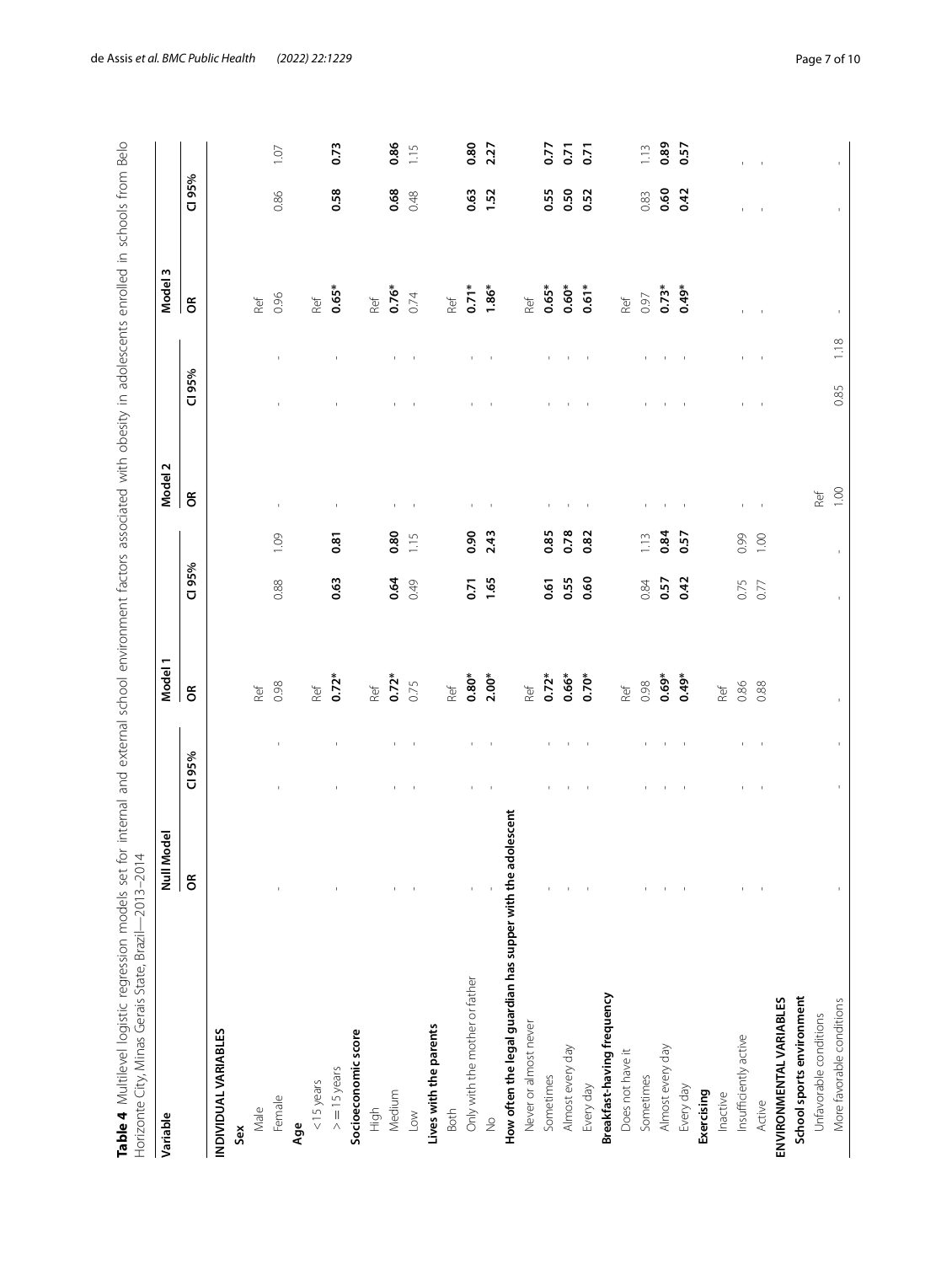<span id="page-6-0"></span>

| dal |                                                                                                                                            | ्तून        | ć                                                   | i<br>j                                                                                  | ٩      |
|-----|--------------------------------------------------------------------------------------------------------------------------------------------|-------------|-----------------------------------------------------|-----------------------------------------------------------------------------------------|--------|
|     |                                                                                                                                            |             |                                                     | ₫<br>$\frac{1}{2}$<br>ļ<br>C LUC<br>ì<br>j<br>lite City Minac Geraic State Rrazili<br>j | ・リリコンコ |
|     | in schools trom<br>うりつうりつ<br>֞֟֓֓֝֓֝֬֝׆֧֛֧֦֧֦֧֦֧֦֧֦֧֦֧֦֧֦֧֦֦֧֦֧֦֧֦֧֦֧֦֦֧֦֦֦֦֦֦֦֦֦֦֦֦֦֦֦֦֦֦֦֦֦֦֦֦֦֦֦֦֦֚֚֚֚֓֓֓֓֓֓֓֓֓֓֓֟֓֝֓֓֞֬֝֓֝֟֝֟֟֟֟֟֟֟֟֟֟ | באל אנטרפור | at for internal and external school environment for | נ<br>ו<br>;<br>;<br>1e4 Multilevel loaistic rearession models                           |        |

| Variable                                                    | Null Model |          |                | Model 1    |        |              | Model <sub>2</sub> |          |                | w<br>Model <sub>3</sub> |        |                |
|-------------------------------------------------------------|------------|----------|----------------|------------|--------|--------------|--------------------|----------|----------------|-------------------------|--------|----------------|
|                                                             | $\epsilon$ | CI 95%   |                | $\epsilon$ | CI 95% |              | $\epsilon$         | CI 95%   |                | $\epsilon$              | CI 95% |                |
| INDIVIDUAL VARIABLES                                        |            |          |                |            |        |              |                    |          |                |                         |        |                |
| Sex                                                         |            |          |                |            |        |              |                    |          |                |                         |        |                |
| Male                                                        |            |          |                | Ref        |        |              |                    |          |                | Ref                     |        |                |
| Female                                                      |            |          |                | 0.98       | 0.88   | 1.09         | $\mathbf{I}$       |          | $\mathbf{I}$   | 0.96                    | 0.86   | 1.07           |
| Age                                                         |            |          |                |            |        |              |                    |          |                |                         |        |                |
| $<$ 15 years                                                |            |          |                | Ref        |        |              |                    |          |                | Ref                     |        |                |
| $>$ = 15 years                                              |            |          | $\mathbf{I}$   | $0.72*$    | 0.63   | 0.81         | $\mathbf I$        |          | $\mathbf{1}$   | $0.65*$                 | 0.58   | 0.73           |
| Socioeconomic score                                         |            |          |                |            |        |              |                    |          |                |                         |        |                |
| High                                                        |            |          |                | Ref        |        |              |                    |          |                | Ref                     |        |                |
| Medium                                                      |            |          |                | $0.72*$    | 0.64   | 0.80         | $\mathbf I$        |          | $\mathbf{I}$   | $0.76*$                 | 0.68   | 0.86           |
| Low                                                         |            |          | $\mathbf{I}$   | 0.75       | 0.49   | 1.15         | $\sim$ 1           |          | $\overline{1}$ | 0.74                    | 0.48   | 1.15           |
| Lives with the parents                                      |            |          |                |            |        |              |                    |          |                |                         |        |                |
| Both                                                        |            |          |                | Ref        |        |              |                    |          |                | Ref                     |        |                |
| Only with the mother or father                              |            |          |                | $0.80*$    | 0.71   | 0.90         | $\mathbf I$        |          |                | $0.71*$                 | 0.63   | 0.80           |
| $\frac{1}{2}$                                               |            |          | $\mathbf{I}$   | $2.00*$    | 1.65   | 2.43         | $\sim$ 1           |          | $\sim$         | $1.86*$                 | 1.52   | 2.27           |
| How often the legal guardian has supper with the adolescent |            |          |                |            |        |              |                    |          |                |                         |        |                |
| Never or almost never                                       |            |          |                | Ref        |        |              |                    |          |                | Ref                     |        |                |
| Sometimes                                                   |            |          | $\mathbf{I}$   | $0.72*$    | 0.61   | 0.85         |                    |          |                | $0.65*$                 | 0.55   | 0.77           |
| Almost every day                                            |            |          | $\mathbf{1}$   | $0.66*$    | 0.55   | 0.78         | $\mathcal{A}$      |          | $\mathbf{I}$   | $0.60*$                 | 0.50   | 5.0            |
| Every day                                                   |            | $\sim$ 1 | $\sim 1$       | $0.70*$    | 0.60   | 0.82         | $\sim$ 1           | $\sim 1$ | $\sim$ 1       | $0.61*$                 | 0.52   | $\overline{5}$ |
| Breakfast-having frequency                                  |            |          |                |            |        |              |                    |          |                |                         |        |                |
| Does not have it                                            |            |          |                | Ref        |        |              |                    |          |                | Ref                     |        |                |
| Sometimes                                                   |            |          |                | 0.98       | 0.84   | 1.13         |                    |          | $\mathbf{I}$   | 0.97                    | 0.83   | 1.13           |
| Almost every day                                            |            |          | $\mathbf{I}$   | $0.69*$    | 0.57   | 0.84         | $\mathbf{I}$       |          | $\mathcal{A}$  | $0.73*$                 | 0.60   | 0.89           |
| Every day                                                   |            | $\sim$ 1 | $\sim$ 1       | $0.49*$    | 0.42   | 0.57         | $\sim$             |          | $\sim$ 1       | $0.49*$                 | 0.42   | 0.57           |
| Exercising                                                  |            |          |                |            |        |              |                    |          |                |                         |        |                |
| Inactive                                                    |            |          |                | Ref        |        |              |                    |          |                |                         |        |                |
| Insufficiently active                                       |            |          | $\mathbf{I}$   | 0.86       | 0.75   | 0.99         |                    |          | $\mathbf{L}$   |                         |        |                |
| Active                                                      |            | $\sim$ 1 | $\blacksquare$ | 0.88       | 0.77   | 1.00         | $\sim$ 1           | $\sim$ 1 | $\sim 1$       |                         |        | $\mathbf{I}$   |
| ENVIRONMENTAL VARIABLES                                     |            |          |                |            |        |              |                    |          |                |                         |        |                |
| School sports environment                                   |            |          |                |            |        |              |                    |          |                |                         |        |                |
| Unfavorable conditions                                      |            |          |                |            |        |              | Ref                |          |                |                         |        |                |
| More favorable conditions                                   |            |          |                |            |        | $\mathbf{I}$ | 1.00               | 0.85     | 1.18           | $\bar{\rm I}$           |        |                |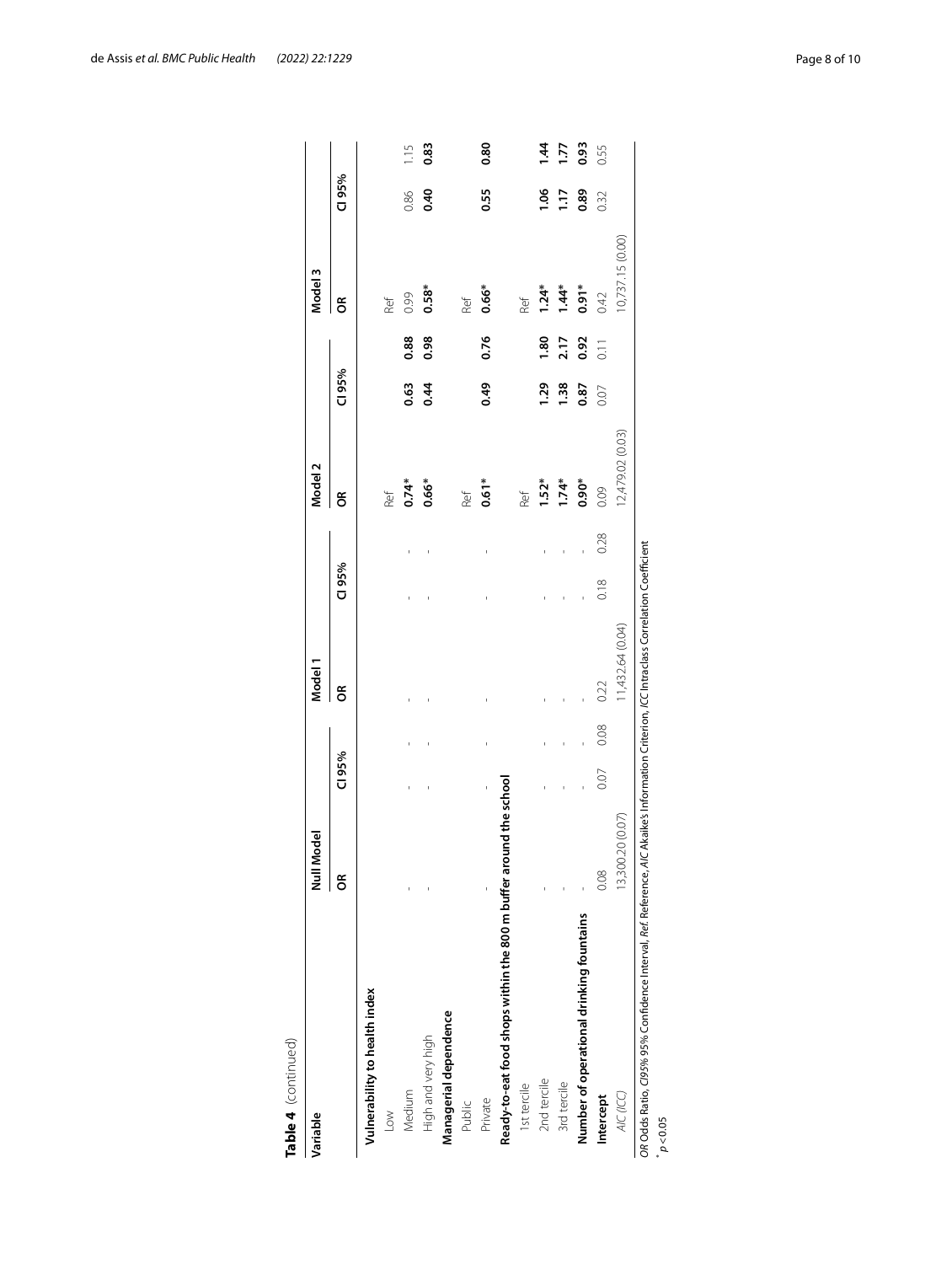| Variable                                                          | Null Model       |        |      | Model 1          |        |      | Model <sub>2</sub> |        |                   | Model 3          |        |               |
|-------------------------------------------------------------------|------------------|--------|------|------------------|--------|------|--------------------|--------|-------------------|------------------|--------|---------------|
|                                                                   | õ                | CI 95% |      | g                | CI 95% |      | g                  | CI 95% |                   | g                | CI 95% |               |
| Vulnerability to health index                                     |                  |        |      |                  |        |      |                    |        |                   |                  |        |               |
| $\leq$                                                            |                  |        |      |                  |        |      | Ref                |        |                   | Ref              |        |               |
| Medium                                                            |                  | ï      |      |                  |        |      | $0.74*$            | 0.63   | 0.88              | 0.99             | 0.86   | 1.15          |
| High and very high                                                |                  |        |      |                  |        |      | $0.66*$            | 0.44   | 0.98              | $0.58*$          | 0.40   | 0.83          |
| Managerial dependence                                             |                  |        |      |                  |        |      |                    |        |                   |                  |        |               |
| Public                                                            |                  |        |      |                  |        |      | Ref                |        |                   | Ref              |        |               |
| Private                                                           |                  |        |      |                  |        |      | $0.61*$            | 0.49   | 0.76              | $0.66*$          | 0.55   | 0.80          |
| Ready-to-eat food shops within the 800 m buffer around the school |                  |        |      |                  |        |      |                    |        |                   |                  |        |               |
| 1st tercile                                                       |                  |        |      |                  |        |      | Ref                |        |                   | Ref              |        |               |
| 2nd tercile                                                       |                  |        |      |                  |        |      | $1.52*$            | 1.29   | 1.80              | $1.24*$          | 1.06   | $\frac{4}{4}$ |
| 3rd tercile                                                       |                  |        |      |                  |        |      | $1.74*$            | 1.38   | 2.17              | $1.44*$          | 1.17   | 1.77          |
| Number of operational drinking fountains                          |                  |        |      |                  |        |      | $0.90*$            | 0.87   | 0.92              | $0.91*$          | 0.89   | 0.93          |
| Intercept                                                         | 0.08             | 0.07   | 0.08 | 0.22             | 0.18   | 0.28 | 0.09               | 0.07   | $\overline{0.11}$ | 0.42             | 0.32   | 0.55          |
| AIC (ICC)                                                         | 13,300.20 (0.07) |        |      | 11,432.64 (0.04) |        |      | 12,479.02 (0.03)   |        |                   | 10,737.15 (0.00) |        |               |

de Assis *et al. BMC Public Health (2022) 22:1229* Page 8 of 10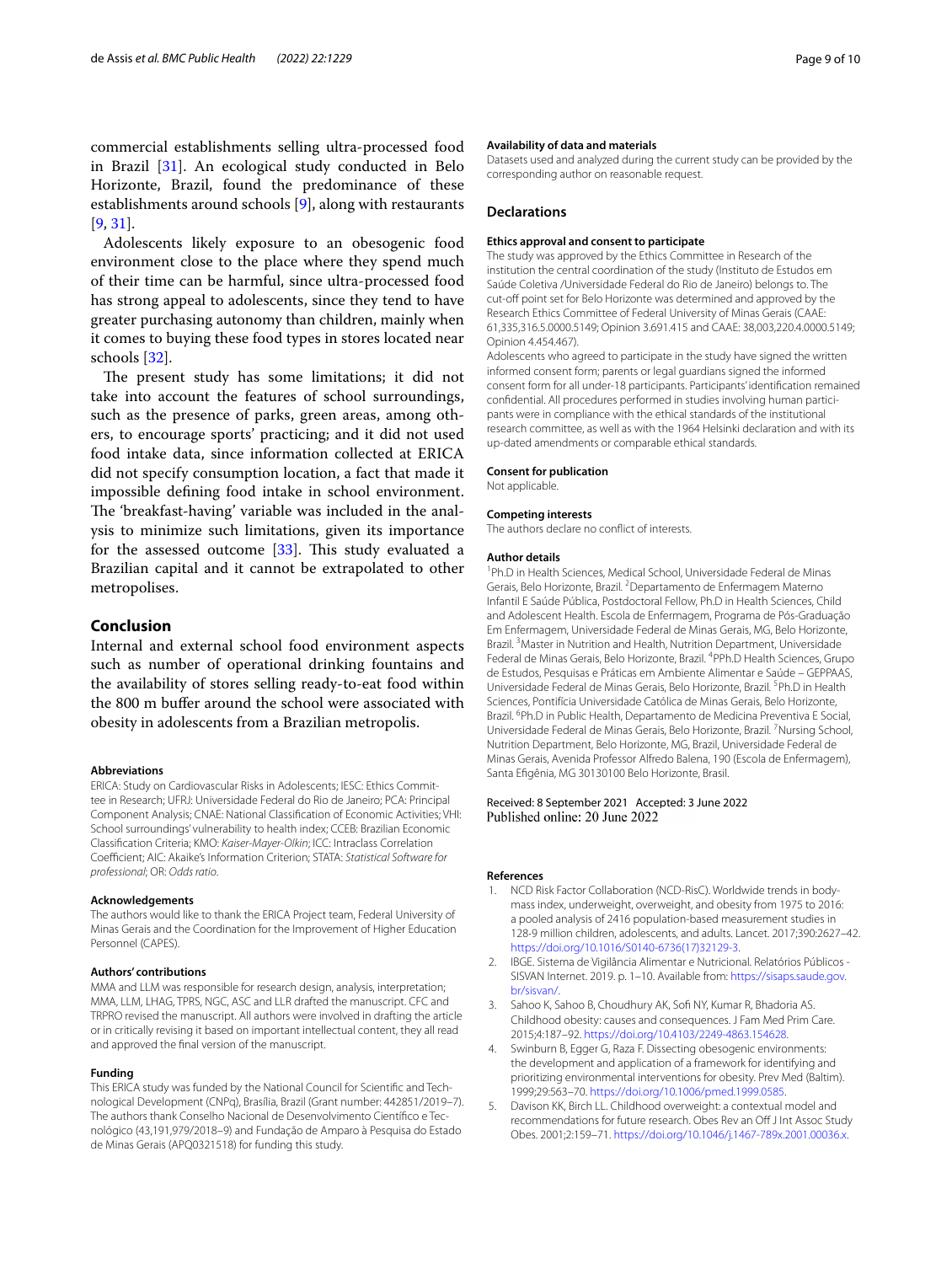commercial establishments selling ultra-processed food in Brazil [[31](#page-9-22)]. An ecological study conducted in Belo Horizonte, Brazil, found the predominance of these establishments around schools [\[9](#page-9-2)], along with restaurants [[9,](#page-9-2) [31](#page-9-22)].

Adolescents likely exposure to an obesogenic food environment close to the place where they spend much of their time can be harmful, since ultra-processed food has strong appeal to adolescents, since they tend to have greater purchasing autonomy than children, mainly when it comes to buying these food types in stores located near schools [[32\]](#page-9-23).

The present study has some limitations; it did not take into account the features of school surroundings, such as the presence of parks, green areas, among others, to encourage sports' practicing; and it did not used food intake data, since information collected at ERICA did not specify consumption location, a fact that made it impossible defning food intake in school environment. The 'breakfast-having' variable was included in the analysis to minimize such limitations, given its importance for the assessed outcome  $[33]$  $[33]$  $[33]$ . This study evaluated a Brazilian capital and it cannot be extrapolated to other metropolises.

## **Conclusion**

Internal and external school food environment aspects such as number of operational drinking fountains and the availability of stores selling ready-to-eat food within the 800 m bufer around the school were associated with obesity in adolescents from a Brazilian metropolis.

#### **Abbreviations**

ERICA: Study on Cardiovascular Risks in Adolescents; IESC: Ethics Committee in Research; UFRJ: Universidade Federal do Rio de Janeiro; PCA: Principal Component Analysis; CNAE: National Classifcation of Economic Activities; VHI: School surroundings' vulnerability to health index; CCEB: Brazilian Economic Classifcation Criteria; KMO: *Kaiser-Mayer-Olkin*; ICC: Intraclass Correlation Coefficient; AIC: Akaike's Information Criterion; STATA: Statistical Software for *professional*; OR: *Odds ratio*.

#### **Acknowledgements**

The authors would like to thank the ERICA Project team, Federal University of Minas Gerais and the Coordination for the Improvement of Higher Education Personnel (CAPES).

#### **Authors' contributions**

MMA and LLM was responsible for research design, analysis, interpretation; MMA, LLM, LHAG, TPRS, NGC, ASC and LLR drafted the manuscript. CFC and TRPRO revised the manuscript. All authors were involved in drafting the article or in critically revising it based on important intellectual content, they all read and approved the fnal version of the manuscript.

## **Funding**

This ERICA study was funded by the National Council for Scientifc and Technological Development (CNPq), Brasília, Brazil (Grant number: 442851/2019–7). The authors thank Conselho Nacional de Desenvolvimento Científco e Tecnológico (43,191,979/2018–9) and Fundação de Amparo à Pesquisa do Estado de Minas Gerais (APQ0321518) for funding this study.

#### **Availability of data and materials**

Datasets used and analyzed during the current study can be provided by the corresponding author on reasonable request.

## **Declarations**

### **Ethics approval and consent to participate**

The study was approved by the Ethics Committee in Research of the institution the central coordination of the study (Instituto de Estudos em Saúde Coletiva /Universidade Federal do Rio de Janeiro) belongs to. The cut-off point set for Belo Horizonte was determined and approved by the Research Ethics Committee of Federal University of Minas Gerais (CAAE: 61,335,316.5.0000.5149; Opinion 3.691.415 and CAAE: 38,003,220.4.0000.5149; Opinion 4.454.467).

Adolescents who agreed to participate in the study have signed the written informed consent form; parents or legal guardians signed the informed consent form for all under-18 participants. Participants' identifcation remained confdential. All procedures performed in studies involving human participants were in compliance with the ethical standards of the institutional research committee, as well as with the 1964 Helsinki declaration and with its up-dated amendments or comparable ethical standards.

#### **Consent for publication**

Not applicable.

#### **Competing interests**

The authors declare no confict of interests.

#### **Author details**

<sup>1</sup>Ph.D in Health Sciences, Medical School, Universidade Federal de Minas Gerais, Belo Horizonte, Brazil. <sup>2</sup> Departamento de Enfermagem Materno Infantil E Saúde Pública, Postdoctoral Fellow, Ph.D in Health Sciences, Child and Adolescent Health. Escola de Enfermagem, Programa de Pós-Graduação Em Enfermagem, Universidade Federal de Minas Gerais, MG, Belo Horizonte, Brazil.<sup>3</sup> Master in Nutrition and Health, Nutrition Department, Universidade Federal de Minas Gerais, Belo Horizonte, Brazil. <sup>4</sup>PPh.D Health Sciences, Grupo de Estudos, Pesquisas e Práticas em Ambiente Alimentar e Saúde – GEPPAAS, Universidade Federal de Minas Gerais, Belo Horizonte, Brazil. <sup>5</sup>Ph.D in Health Sciences, Pontifícia Universidade Católica de Minas Gerais, Belo Horizonte, Brazil. <sup>6</sup>Ph.D in Public Health, Departamento de Medicina Preventiva E Social, Universidade Federal de Minas Gerais, Belo Horizonte, Brazil. <sup>7</sup>Nursing School, Nutrition Department, Belo Horizonte, MG, Brazil, Universidade Federal de Minas Gerais, Avenida Professor Alfredo Balena, 190 (Escola de Enfermagem), Santa Efgênia, MG 30130100 Belo Horizonte, Brasil.

## Received: 8 September 2021 Accepted: 3 June 2022

## **References**

- <span id="page-8-0"></span>1. NCD Risk Factor Collaboration (NCD-RisC). Worldwide trends in bodymass index, underweight, overweight, and obesity from 1975 to 2016: a pooled analysis of 2416 population-based measurement studies in 128·9 million children, adolescents, and adults. Lancet. 2017;390:2627–42. [https://doi.org/10.1016/S0140-6736\(17\)32129-3](https://doi.org/10.1016/S0140-6736(17)32129-3).
- <span id="page-8-1"></span>2. IBGE. Sistema de Vigilância Alimentar e Nutricional. Relatórios Públicos - SISVAN Internet. 2019. p. 1–10. Available from: [https://sisaps.saude.gov.](https://sisaps.saude.gov.br/sisvan/) [br/sisvan/](https://sisaps.saude.gov.br/sisvan/).
- <span id="page-8-2"></span>3. Sahoo K, Sahoo B, Choudhury AK, Sof NY, Kumar R, Bhadoria AS. Childhood obesity: causes and consequences. J Fam Med Prim Care. 2015;4:187–92. <https://doi.org/10.4103/2249-4863.154628>.
- <span id="page-8-3"></span>4. Swinburn B, Egger G, Raza F. Dissecting obesogenic environments: the development and application of a framework for identifying and prioritizing environmental interventions for obesity. Prev Med (Baltim). 1999;29:563–70. [https://doi.org/10.1006/pmed.1999.0585.](https://doi.org/10.1006/pmed.1999.0585)
- 5. Davison KK, Birch LL. Childhood overweight: a contextual model and recommendations for future research. Obes Rev an Off J Int Assoc Study Obes. 2001;2:159–71. [https://doi.org/10.1046/j.1467-789x.2001.00036.x.](https://doi.org/10.1046/j.1467-789x.2001.00036.x)